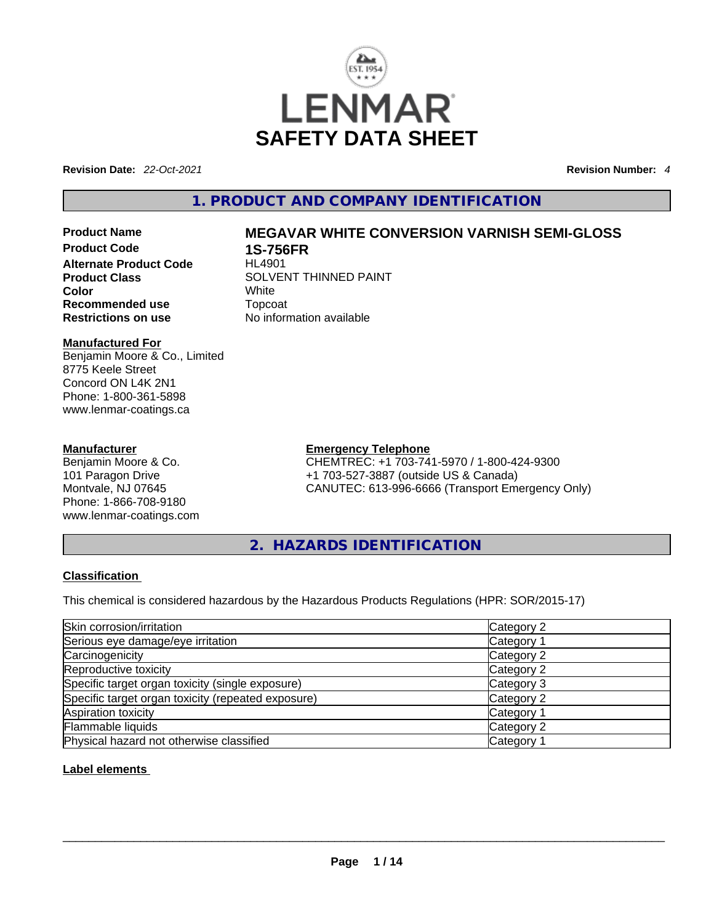

**Revision Date:** *22-Oct-2021* **Revision Number:** *4*

# **1. PRODUCT AND COMPANY IDENTIFICATION**

**Alternate Product Code Color** White **Recommended use** Topcoat **Restrictions on use** No information available

# **Manufactured For**

Benjamin Moore & Co., Limited 8775 Keele Street Concord ON L4K 2N1 Phone: 1-800-361-5898 www.lenmar-coatings.ca

# **Manufacturer**

Benjamin Moore & Co. 101 Paragon Drive Montvale, NJ 07645 Phone: 1-866-708-9180 www.lenmar-coatings.com

# **Product Name MEGAVAR WHITE CONVERSION VARNISH SEMI-GLOSS**

**1S-756FR**<br>HL4901 **Product Class SOLVENT THINNED PAINT** 

**Emergency Telephone**

CHEMTREC: +1 703-741-5970 / 1-800-424-9300 +1 703-527-3887 (outside US & Canada) CANUTEC: 613-996-6666 (Transport Emergency Only)

**2. HAZARDS IDENTIFICATION** 

# **Classification**

This chemical is considered hazardous by the Hazardous Products Regulations (HPR: SOR/2015-17)

| Skin corrosion/irritation                          | Category 2 |
|----------------------------------------------------|------------|
| Serious eye damage/eye irritation                  | Category 1 |
| Carcinogenicity                                    | Category 2 |
| Reproductive toxicity                              | Category 2 |
| Specific target organ toxicity (single exposure)   | Category 3 |
| Specific target organ toxicity (repeated exposure) | Category 2 |
| Aspiration toxicity                                | Category 1 |
| Flammable liquids                                  | Category 2 |
| Physical hazard not otherwise classified           | Category 1 |

# **Label elements**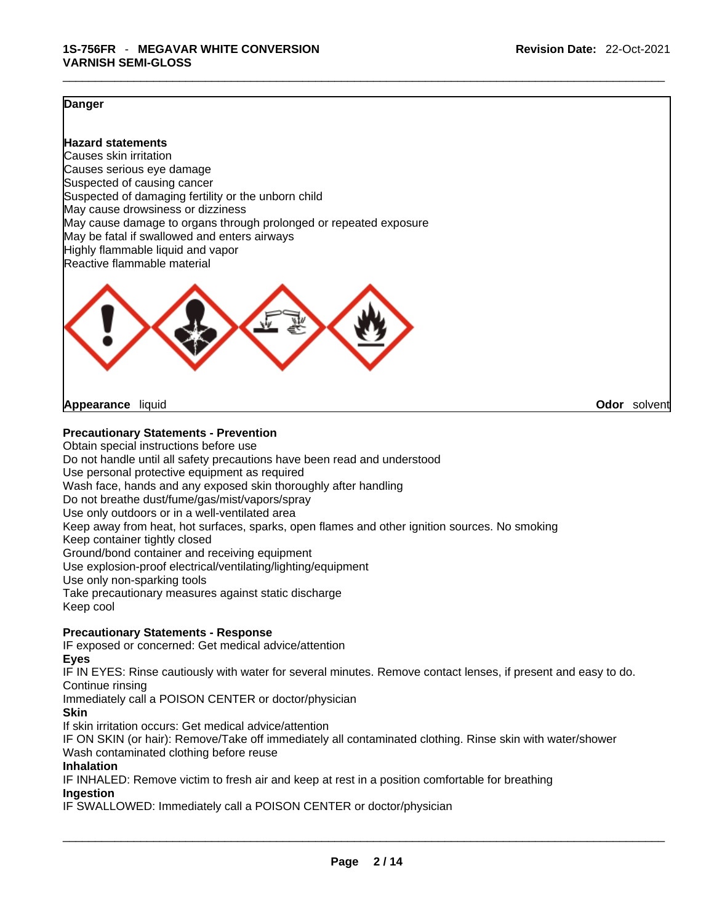### **Danger**

**Hazard statements** Causes skin irritation Causes serious eye damage Suspected of causing cancer Suspected of damaging fertility or the unborn child May cause drowsiness or dizziness May cause damage to organs through prolonged or repeated exposure May be fatal if swallowed and enters airways Highly flammable liquid and vapor Reactive flammable material



**Appearance** liquid **Odor** *Solvent* **Appearance Contract Appearance Odor** solvent

### **Precautionary Statements - Prevention**

Obtain special instructions before use Do not handle until all safety precautions have been read and understood Use personal protective equipment as required Wash face, hands and any exposed skin thoroughly after handling Do not breathe dust/fume/gas/mist/vapors/spray Use only outdoors or in a well-ventilated area Keep away from heat, hot surfaces, sparks, open flames and other ignition sources. No smoking Keep container tightly closed Ground/bond container and receiving equipment Use explosion-proof electrical/ventilating/lighting/equipment Use only non-sparking tools Take precautionary measures against static discharge Keep cool

### **Precautionary Statements - Response**

IF exposed or concerned: Get medical advice/attention

**Eyes**

IF IN EYES: Rinse cautiously with water for several minutes. Remove contact lenses, if present and easy to do. Continue rinsing

Immediately call a POISON CENTER or doctor/physician

# **Skin**

If skin irritation occurs: Get medical advice/attention

IF ON SKIN (or hair): Remove/Take off immediately all contaminated clothing. Rinse skin with water/shower Wash contaminated clothing before reuse

### **Inhalation**

IF INHALED: Remove victim to fresh air and keep at rest in a position comfortable for breathing **Ingestion**

IF SWALLOWED: Immediately call a POISON CENTER or doctor/physician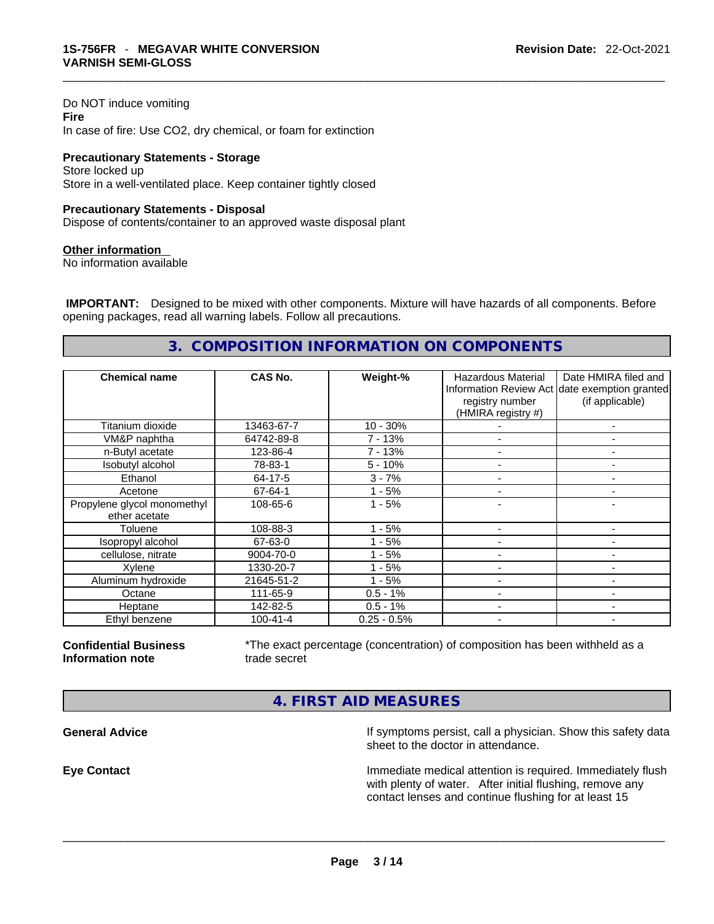Do NOT induce vomiting **Fire** In case of fire: Use CO2, dry chemical, or foam for extinction

**Precautionary Statements - Storage** Store locked up Store in a well-ventilated place. Keep container tightly closed

#### **Precautionary Statements - Disposal**

Dispose of contents/container to an approved waste disposal plant

#### **Other information**

No information available

 **IMPORTANT:** Designed to be mixed with other components. Mixture will have hazards of all components. Before opening packages, read all warning labels. Follow all precautions.

# **3. COMPOSITION INFORMATION ON COMPONENTS**

| <b>Chemical name</b>                         | CAS No.        | Weight-%      | <b>Hazardous Material</b><br>registry number<br>(HMIRA registry #) | Date HMIRA filed and<br>Information Review Act date exemption granted<br>(if applicable) |
|----------------------------------------------|----------------|---------------|--------------------------------------------------------------------|------------------------------------------------------------------------------------------|
| Titanium dioxide                             | 13463-67-7     | $10 - 30%$    |                                                                    | ٠                                                                                        |
| VM&P naphtha                                 | 64742-89-8     | 7 - 13%       |                                                                    | ۰                                                                                        |
| n-Butyl acetate                              | 123-86-4       | $7 - 13%$     | $\overline{\phantom{0}}$                                           | $\overline{\phantom{a}}$                                                                 |
| Isobutyl alcohol                             | 78-83-1        | $5 - 10%$     |                                                                    |                                                                                          |
| Ethanol                                      | 64-17-5        | $3 - 7%$      |                                                                    |                                                                                          |
| Acetone                                      | 67-64-1        | $1 - 5%$      |                                                                    |                                                                                          |
| Propylene glycol monomethyl<br>ether acetate | 108-65-6       | $1 - 5%$      |                                                                    |                                                                                          |
| Toluene                                      | 108-88-3       | $1 - 5%$      |                                                                    |                                                                                          |
| Isopropyl alcohol                            | 67-63-0        | $1 - 5%$      |                                                                    |                                                                                          |
| cellulose, nitrate                           | 9004-70-0      | 1 - 5%        |                                                                    |                                                                                          |
| Xylene                                       | 1330-20-7      | $1 - 5%$      |                                                                    |                                                                                          |
| Aluminum hydroxide                           | 21645-51-2     | $1 - 5%$      |                                                                    | -                                                                                        |
| Octane                                       | 111-65-9       | $0.5 - 1%$    |                                                                    | ۰                                                                                        |
| Heptane                                      | 142-82-5       | $0.5 - 1%$    |                                                                    | -                                                                                        |
| Ethyl benzene                                | $100 - 41 - 4$ | $0.25 - 0.5%$ |                                                                    | -                                                                                        |

**Confidential Business Information note**

\*The exact percentage (concentration) of composition has been withheld as a trade secret

# **4. FIRST AID MEASURES**

**General Advice If** symptoms persist, call a physician. Show this safety data sheet to the doctor in attendance.

**Eye Contact Immediate medical attention is required. Immediately flush** Immediately flush with plenty of water. After initial flushing, remove any contact lenses and continue flushing for at least 15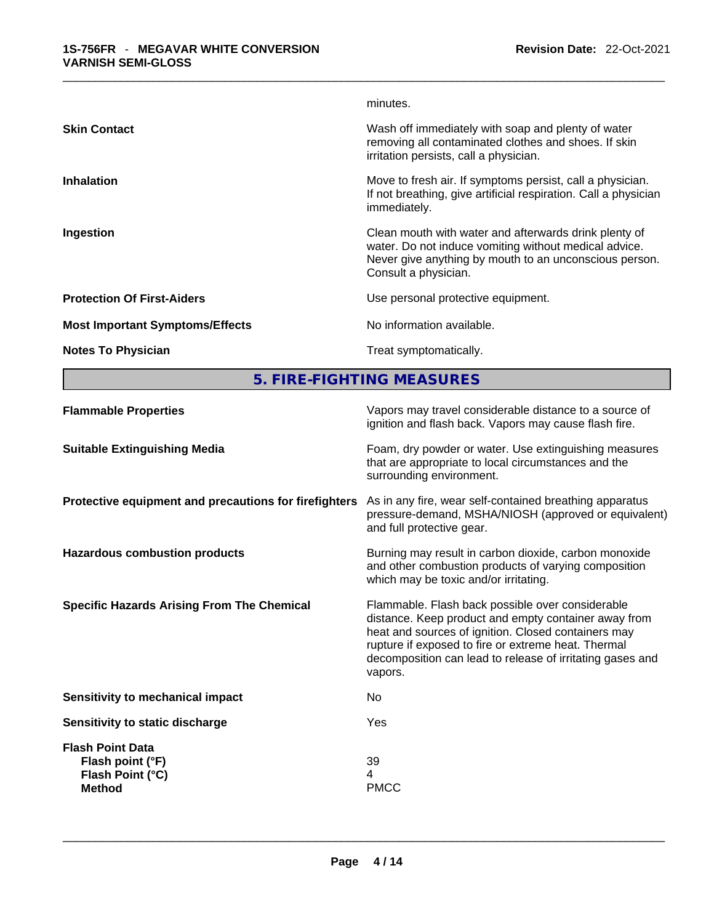|                                        | minutes.                                                                                                                                                                                         |
|----------------------------------------|--------------------------------------------------------------------------------------------------------------------------------------------------------------------------------------------------|
| <b>Skin Contact</b>                    | Wash off immediately with soap and plenty of water<br>removing all contaminated clothes and shoes. If skin<br>irritation persists, call a physician.                                             |
| <b>Inhalation</b>                      | Move to fresh air. If symptoms persist, call a physician.<br>If not breathing, give artificial respiration. Call a physician<br>immediately.                                                     |
| Ingestion                              | Clean mouth with water and afterwards drink plenty of<br>water. Do not induce vomiting without medical advice.<br>Never give anything by mouth to an unconscious person.<br>Consult a physician. |
| <b>Protection Of First-Aiders</b>      | Use personal protective equipment.                                                                                                                                                               |
| <b>Most Important Symptoms/Effects</b> | No information available.                                                                                                                                                                        |
| <b>Notes To Physician</b>              | Treat symptomatically.                                                                                                                                                                           |
|                                        |                                                                                                                                                                                                  |

**5. FIRE-FIGHTING MEASURES** 

| <b>Flammable Properties</b>                                                      | Vapors may travel considerable distance to a source of<br>ignition and flash back. Vapors may cause flash fire.                                                                                                                                                                                |
|----------------------------------------------------------------------------------|------------------------------------------------------------------------------------------------------------------------------------------------------------------------------------------------------------------------------------------------------------------------------------------------|
| <b>Suitable Extinguishing Media</b>                                              | Foam, dry powder or water. Use extinguishing measures<br>that are appropriate to local circumstances and the<br>surrounding environment.                                                                                                                                                       |
| Protective equipment and precautions for firefighters                            | As in any fire, wear self-contained breathing apparatus<br>pressure-demand, MSHA/NIOSH (approved or equivalent)<br>and full protective gear.                                                                                                                                                   |
| <b>Hazardous combustion products</b>                                             | Burning may result in carbon dioxide, carbon monoxide<br>and other combustion products of varying composition<br>which may be toxic and/or irritating.                                                                                                                                         |
| <b>Specific Hazards Arising From The Chemical</b>                                | Flammable. Flash back possible over considerable<br>distance. Keep product and empty container away from<br>heat and sources of ignition. Closed containers may<br>rupture if exposed to fire or extreme heat. Thermal<br>decomposition can lead to release of irritating gases and<br>vapors. |
| <b>Sensitivity to mechanical impact</b>                                          | No                                                                                                                                                                                                                                                                                             |
| Sensitivity to static discharge                                                  | Yes                                                                                                                                                                                                                                                                                            |
| <b>Flash Point Data</b><br>Flash point (°F)<br>Flash Point (°C)<br><b>Method</b> | 39<br>4<br><b>PMCC</b>                                                                                                                                                                                                                                                                         |
|                                                                                  |                                                                                                                                                                                                                                                                                                |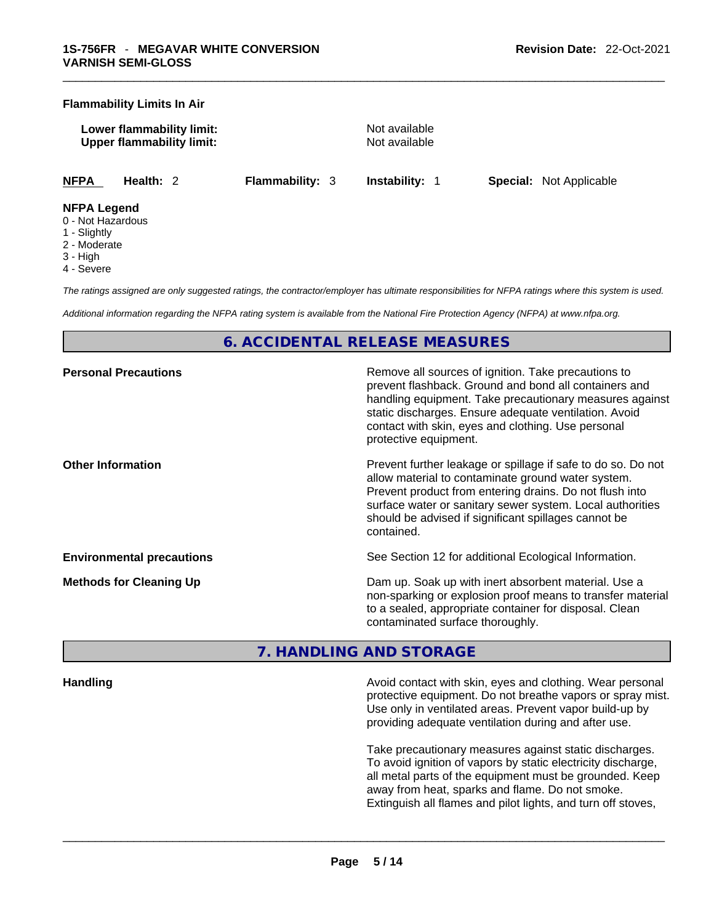#### **Flammability Limits In Air**

**Lower flammability limit:** Not available **Upper flammability limit:** Not available

**NFPA Health:** 2 **Flammability:** 3 **Instability:** 1 **Special:** Not Applicable

#### **NFPA Legend**

- 0 Not Hazardous
- 1 Slightly
- 2 Moderate
- 3 High
- 4 Severe

*The ratings assigned are only suggested ratings, the contractor/employer has ultimate responsibilities for NFPA ratings where this system is used.* 

*Additional information regarding the NFPA rating system is available from the National Fire Protection Agency (NFPA) at www.nfpa.org.* 

# **6. ACCIDENTAL RELEASE MEASURES**

| <b>Personal Precautions</b>      | Remove all sources of ignition. Take precautions to<br>prevent flashback. Ground and bond all containers and<br>handling equipment. Take precautionary measures against<br>static discharges. Ensure adequate ventilation. Avoid<br>contact with skin, eyes and clothing. Use personal<br>protective equipment.  |
|----------------------------------|------------------------------------------------------------------------------------------------------------------------------------------------------------------------------------------------------------------------------------------------------------------------------------------------------------------|
| <b>Other Information</b>         | Prevent further leakage or spillage if safe to do so. Do not<br>allow material to contaminate ground water system.<br>Prevent product from entering drains. Do not flush into<br>surface water or sanitary sewer system. Local authorities<br>should be advised if significant spillages cannot be<br>contained. |
| <b>Environmental precautions</b> | See Section 12 for additional Ecological Information.                                                                                                                                                                                                                                                            |
| <b>Methods for Cleaning Up</b>   | Dam up. Soak up with inert absorbent material. Use a<br>non-sparking or explosion proof means to transfer material<br>to a sealed, appropriate container for disposal. Clean<br>contaminated surface thoroughly.                                                                                                 |

# **7. HANDLING AND STORAGE**

**Handling Avoid contact with skin, eyes and clothing. Wear personal discriming the state of the Avoid contact with skin, eyes and clothing. Wear personal** protective equipment. Do not breathe vapors or spray mist. Use only in ventilated areas. Prevent vapor build-up by providing adequate ventilation during and after use.

> Take precautionary measures against static discharges. To avoid ignition of vapors by static electricity discharge, all metal parts of the equipment must be grounded. Keep away from heat, sparks and flame. Do not smoke. Extinguish all flames and pilot lights, and turn off stoves,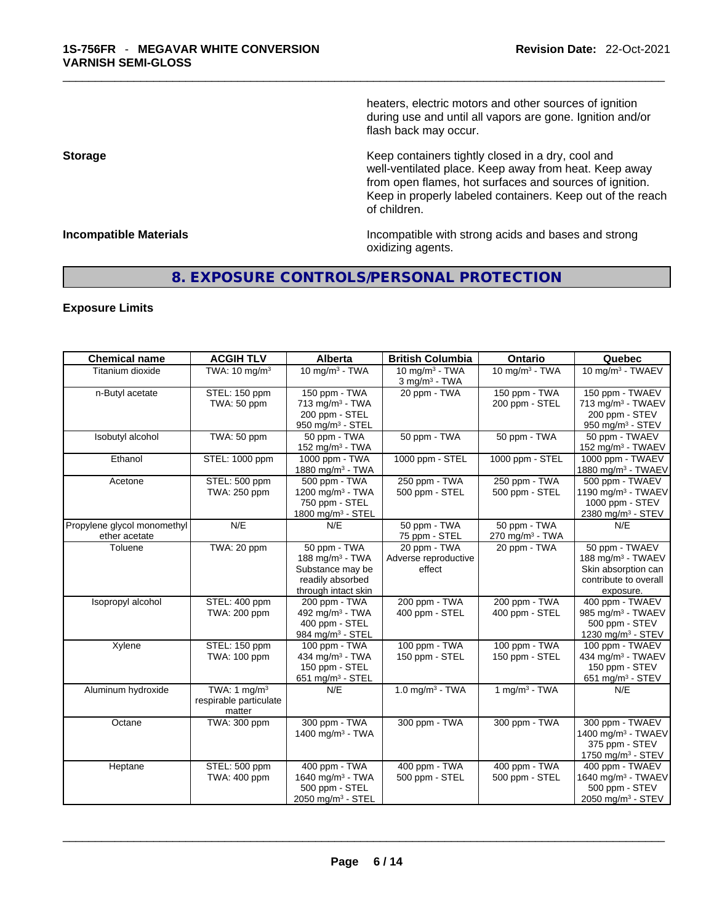heaters, electric motors and other sources of ignition during use and until all vapors are gone. Ignition and/or flash back may occur.

**Storage Storage Keep containers tightly closed in a dry, cool and** well-ventilated place. Keep away from heat. Keep away from open flames, hot surfaces and sources of ignition. Keep in properly labeled containers. Keep out of the reach of children.

**Incompatible Materials Incompatible with strong acids and bases and strong** oxidizing agents.

# **8. EXPOSURE CONTROLS/PERSONAL PROTECTION**

# **Exposure Limits**

| <b>Chemical name</b>                         | <b>ACGIH TLV</b>                                   | <b>Alberta</b>                                                                                    | <b>British Columbia</b>                        | Ontario                                     | Quebec                                                                                                       |
|----------------------------------------------|----------------------------------------------------|---------------------------------------------------------------------------------------------------|------------------------------------------------|---------------------------------------------|--------------------------------------------------------------------------------------------------------------|
| Titanium dioxide                             | TWA: $10 \text{ mg/m}^3$                           | 10 mg/m $3 - TWA$                                                                                 | 10 mg/m $3$ - TWA<br>3 mg/m <sup>3</sup> - TWA | 10 mg/m $3$ - TWA                           | 10 mg/m <sup>3</sup> - TWAEV                                                                                 |
| n-Butyl acetate                              | STEL: 150 ppm<br>TWA: 50 ppm                       | 150 ppm - TWA<br>713 mg/m <sup>3</sup> - TWA<br>200 ppm - STEL<br>950 mg/m <sup>3</sup> - STEL    | 20 ppm - TWA                                   | 150 ppm - TWA<br>200 ppm - STEL             | 150 ppm - TWAEV<br>713 mg/m <sup>3</sup> - TWAEV<br>200 ppm - STEV<br>950 mg/m $3 -$ STEV                    |
| Isobutyl alcohol                             | <b>TWA: 50 ppm</b>                                 | 50 ppm - TWA<br>152 mg/m <sup>3</sup> - TWA                                                       | 50 ppm - TWA                                   | 50 ppm - TWA                                | 50 ppm - TWAEV<br>152 mg/m <sup>3</sup> - TWAEV                                                              |
| Ethanol                                      | STEL: 1000 ppm                                     | 1000 ppm - TWA<br>1880 mg/m <sup>3</sup> - TWA                                                    | 1000 ppm - STEL                                | 1000 ppm - STEL                             | 1000 ppm - TWAEV<br>1880 mg/m <sup>3</sup> - TWAEV                                                           |
| Acetone                                      | STEL: 500 ppm<br>TWA: 250 ppm                      | 500 ppm - TWA<br>1200 mg/m <sup>3</sup> - TWA<br>750 ppm - STEL<br>1800 mg/m <sup>3</sup> - STEL  | 250 ppm - TWA<br>500 ppm - STEL                | 250 ppm - TWA<br>500 ppm - STEL             | 500 ppm - TWAEV<br>1190 mg/m $3$ - TWAEV<br>1000 ppm - STEV<br>2380 mg/m <sup>3</sup> - STEV                 |
| Propylene glycol monomethyl<br>ether acetate | N/E                                                | N/E                                                                                               | 50 ppm - TWA<br>75 ppm - STEL                  | 50 ppm - TWA<br>270 mg/m <sup>3</sup> - TWA | N/E                                                                                                          |
| Toluene                                      | TWA: 20 ppm                                        | 50 ppm - TWA<br>188 mg/m $3$ - TWA<br>Substance may be<br>readily absorbed<br>through intact skin | 20 ppm - TWA<br>Adverse reproductive<br>effect | 20 ppm - TWA                                | 50 ppm - TWAEV<br>188 mg/m <sup>3</sup> - TWAEV<br>Skin absorption can<br>contribute to overall<br>exposure. |
| Isopropyl alcohol                            | STEL: 400 ppm<br>TWA: 200 ppm                      | 200 ppm - TWA<br>492 mg/m <sup>3</sup> - TWA<br>400 ppm - STEL<br>984 mg/m <sup>3</sup> - STEL    | 200 ppm - TWA<br>400 ppm - STEL                | 200 ppm - TWA<br>400 ppm - STEL             | 400 ppm - TWAEV<br>985 mg/m <sup>3</sup> - TWAEV<br>500 ppm - STEV<br>1230 mg/m <sup>3</sup> - STEV          |
| Xylene                                       | STEL: 150 ppm<br>TWA: 100 ppm                      | 100 ppm - TWA<br>434 mg/m <sup>3</sup> - TWA<br>150 ppm - STEL<br>651 mg/m <sup>3</sup> - STEL    | 100 ppm - TWA<br>150 ppm - STEL                | 100 ppm - TWA<br>150 ppm - STEL             | 100 ppm - TWAEV<br>434 mg/m <sup>3</sup> - TWAEV<br>150 ppm - STEV<br>651 mg/m <sup>3</sup> - STEV           |
| Aluminum hydroxide                           | TWA: 1 $mq/m3$<br>respirable particulate<br>matter | N/E                                                                                               | 1.0 mg/m $3 - TWA$                             | 1 mg/m $3 - TWA$                            | N/E                                                                                                          |
| Octane                                       | TWA: 300 ppm                                       | 300 ppm - TWA<br>1400 mg/m $3$ - TWA                                                              | 300 ppm - TWA                                  | 300 ppm - TWA                               | 300 ppm - TWAEV<br>1400 mg/m <sup>3</sup> - TWAEV<br>375 ppm - STEV<br>1750 mg/m <sup>3</sup> - STEV         |
| Heptane                                      | STEL: 500 ppm<br>TWA: 400 ppm                      | 400 ppm - TWA<br>1640 mg/m <sup>3</sup> - TWA<br>500 ppm - STEL<br>2050 mg/m <sup>3</sup> - STEL  | 400 ppm - TWA<br>500 ppm - STEL                | 400 ppm - TWA<br>500 ppm - STEL             | 400 ppm - TWAEV<br>1640 mg/m <sup>3</sup> - TWAEV<br>500 ppm - STEV<br>2050 mg/m <sup>3</sup> - STEV         |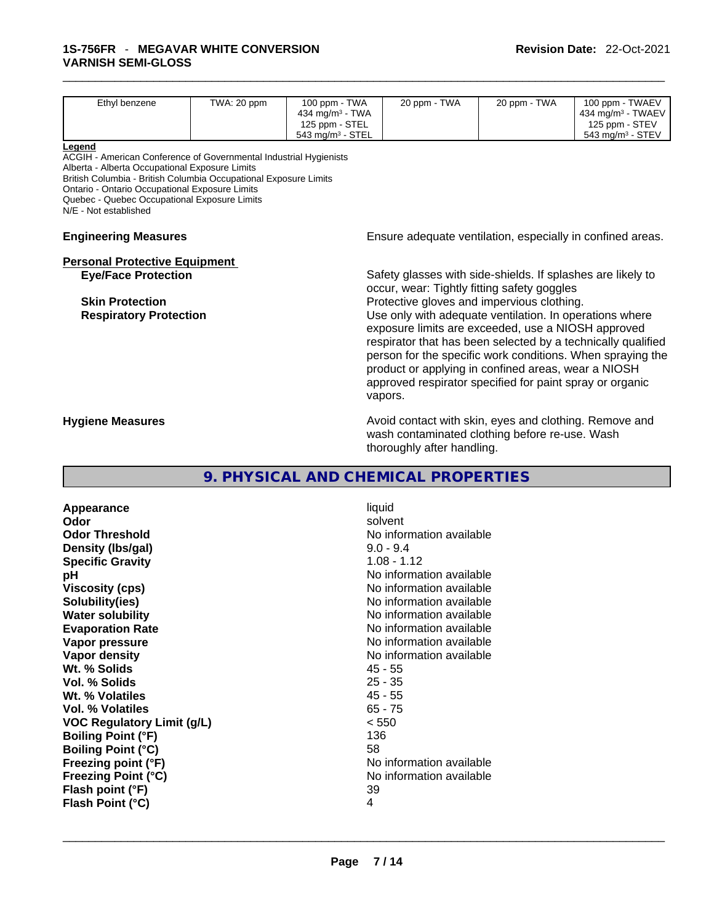| Ethyl benzene                                                     | TWA: 20 ppm | 100 ppm - TWA<br>434 mg/m <sup>3</sup> - TWA | 20 ppm - TWA                                                                                                                                                                                                                                                                                                                                                              | 20 ppm - TWA | 100 ppm - TWAEV<br>434 mg/m <sup>3</sup> - TWAEV           |  |  |
|-------------------------------------------------------------------|-------------|----------------------------------------------|---------------------------------------------------------------------------------------------------------------------------------------------------------------------------------------------------------------------------------------------------------------------------------------------------------------------------------------------------------------------------|--------------|------------------------------------------------------------|--|--|
|                                                                   |             | 125 ppm - STEL                               |                                                                                                                                                                                                                                                                                                                                                                           |              | 125 ppm - STEV                                             |  |  |
|                                                                   |             | 543 mg/m <sup>3</sup> - STEL                 |                                                                                                                                                                                                                                                                                                                                                                           |              | 543 mg/m <sup>3</sup> - STEV                               |  |  |
| Legend                                                            |             |                                              |                                                                                                                                                                                                                                                                                                                                                                           |              |                                                            |  |  |
| ACGIH - American Conference of Governmental Industrial Hygienists |             |                                              |                                                                                                                                                                                                                                                                                                                                                                           |              |                                                            |  |  |
| Alberta - Alberta Occupational Exposure Limits                    |             |                                              |                                                                                                                                                                                                                                                                                                                                                                           |              |                                                            |  |  |
| British Columbia - British Columbia Occupational Exposure Limits  |             |                                              |                                                                                                                                                                                                                                                                                                                                                                           |              |                                                            |  |  |
| Ontario - Ontario Occupational Exposure Limits                    |             |                                              |                                                                                                                                                                                                                                                                                                                                                                           |              |                                                            |  |  |
| Quebec - Quebec Occupational Exposure Limits                      |             |                                              |                                                                                                                                                                                                                                                                                                                                                                           |              |                                                            |  |  |
| N/E - Not established                                             |             |                                              |                                                                                                                                                                                                                                                                                                                                                                           |              |                                                            |  |  |
| <b>Engineering Measures</b>                                       |             |                                              |                                                                                                                                                                                                                                                                                                                                                                           |              | Ensure adequate ventilation, especially in confined areas. |  |  |
| <b>Personal Protective Equipment</b>                              |             |                                              |                                                                                                                                                                                                                                                                                                                                                                           |              |                                                            |  |  |
| <b>Eye/Face Protection</b>                                        |             |                                              | Safety glasses with side-shields. If splashes are likely to<br>occur, wear: Tightly fitting safety goggles                                                                                                                                                                                                                                                                |              |                                                            |  |  |
| <b>Skin Protection</b>                                            |             |                                              | Protective gloves and impervious clothing.                                                                                                                                                                                                                                                                                                                                |              |                                                            |  |  |
| <b>Respiratory Protection</b>                                     |             |                                              | Use only with adequate ventilation. In operations where<br>exposure limits are exceeded, use a NIOSH approved<br>respirator that has been selected by a technically qualified<br>person for the specific work conditions. When spraying the<br>product or applying in confined areas, wear a NIOSH<br>approved respirator specified for paint spray or organic<br>vapors. |              |                                                            |  |  |
| <b>Hygiene Measures</b>                                           |             |                                              | Avoid contact with skin, eyes and clothing. Remove and<br>wash contaminated clothing before re-use. Wash<br>thoroughly after handling.                                                                                                                                                                                                                                    |              |                                                            |  |  |

# **9. PHYSICAL AND CHEMICAL PROPERTIES**

**Appearance** liquid **Odor Solvent Solvent Solvent Solvent Odor Threshold** No information available **Density (lbs/gal)** 9.0 - 9.4 **Specific Gravity** 1.08 - 1.12 **pH pH No** information available **Viscosity (cps) Viscosity (cps) No information available Solubility(ies)**<br> **No information available**<br> **Water solubility**<br> **Water solubility Water solubility Water Solubility**<br> **Evaporation Rate** Moinformation available<br>
No information available **Vapor pressure**<br> **Vapor density**<br> **Vapor density**<br> **Vapor density**<br> **Vapor density Wt. % Solids** 45 - 55 **Vol. % Solids** 25 - 35 Wt. % Volatiles **Vol. % Volatiles** 65 - 75 **VOC Regulatory Limit (g/L)** < 550 **Boiling Point (°F) Boiling Point (°C)** 58 **Freezing point (°F)**<br> **Freezing Point (°C)**<br> **Freezing Point (°C)**<br> **C No** information available **Flash point (°F)** 39<br> **Flash Point (°C)** 4 **Flash Point (°C)** 4

**Evaporation Rate** No information available **No information available Franchisch Report Exercises (8) Report EXP C**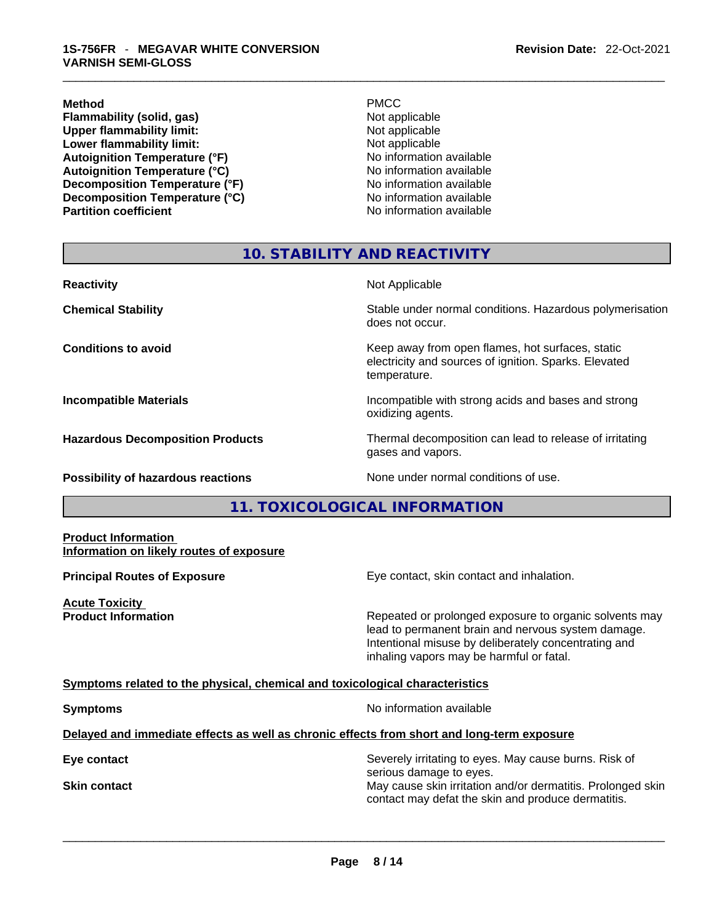#### **Method** PMCC

**Flammability (solid, gas)**<br> **Commability limit:**<br>
Upper flammability limit:<br>
Not applicable **Upper flammability limit:**<br> **Lower flammability limit:**<br>
Not applicable<br>
Not applicable **Lower flammability limit: Autoignition Temperature (°F)** No information available **Autoignition Temperature (°C)** No information available **Decomposition Temperature (°F)** No information available **Decomposition Temperature (°C)**<br> **Partition coefficient**<br> **Partition coefficient**<br> **No** information available

**No information available** 

# **10. STABILITY AND REACTIVITY**

| <b>Reactivity</b>                         | Not Applicable                                                                                                            |
|-------------------------------------------|---------------------------------------------------------------------------------------------------------------------------|
| <b>Chemical Stability</b>                 | Stable under normal conditions. Hazardous polymerisation<br>does not occur.                                               |
| <b>Conditions to avoid</b>                | Keep away from open flames, hot surfaces, static<br>electricity and sources of ignition. Sparks. Elevated<br>temperature. |
| <b>Incompatible Materials</b>             | Incompatible with strong acids and bases and strong<br>oxidizing agents.                                                  |
| <b>Hazardous Decomposition Products</b>   | Thermal decomposition can lead to release of irritating<br>gases and vapors.                                              |
| <b>Possibility of hazardous reactions</b> | None under normal conditions of use.                                                                                      |

# **11. TOXICOLOGICAL INFORMATION**

#### **Product Information Information on likely routes of exposure**

**Acute Toxicity** 

**Principal Routes of Exposure Exposure** Eye contact, skin contact and inhalation.

**Product Information Repeated or prolonged exposure to organic solvents may** Repeated or prolonged exposure to organic solvents may lead to permanent brain and nervous system damage. Intentional misuse by deliberately concentrating and inhaling vapors may be harmful or fatal.

### **Symptoms related to the physical,chemical and toxicological characteristics**

**Symptoms Symptoms No information available** 

# **Delayed and immediate effects as well as chronic effects from short and long-term exposure**

**Eye contact Exercise 2018** Severely irritating to eyes. May cause burns. Risk of serious damage to eyes. **Skin contact May cause skin irritation and/or dermatitis. Prolonged skin Skin contact May cause skin irritation and/or dermatitis. Prolonged skin** contact may defat the skin and produce dermatitis.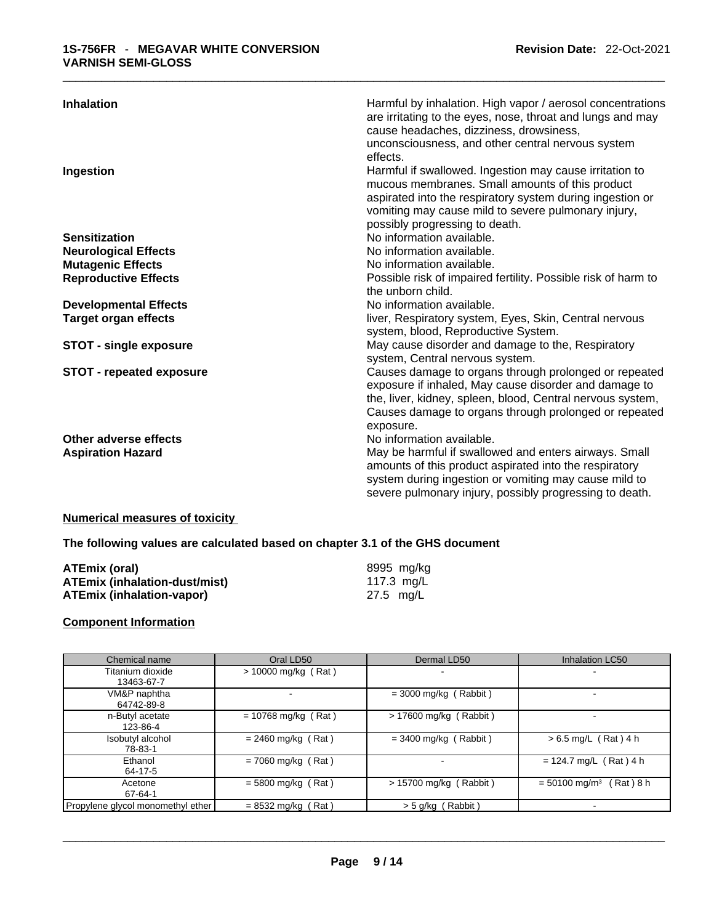| <b>Inhalation</b>                                 | Harmful by inhalation. High vapor / aerosol concentrations<br>are irritating to the eyes, nose, throat and lungs and may<br>cause headaches, dizziness, drowsiness,<br>unconsciousness, and other central nervous system<br>effects.                             |
|---------------------------------------------------|------------------------------------------------------------------------------------------------------------------------------------------------------------------------------------------------------------------------------------------------------------------|
| Ingestion                                         | Harmful if swallowed. Ingestion may cause irritation to<br>mucous membranes. Small amounts of this product<br>aspirated into the respiratory system during ingestion or<br>vomiting may cause mild to severe pulmonary injury,<br>possibly progressing to death. |
| <b>Sensitization</b>                              | No information available.                                                                                                                                                                                                                                        |
| <b>Neurological Effects</b>                       | No information available.                                                                                                                                                                                                                                        |
| <b>Mutagenic Effects</b>                          | No information available.                                                                                                                                                                                                                                        |
| <b>Reproductive Effects</b>                       | Possible risk of impaired fertility. Possible risk of harm to<br>the unborn child.                                                                                                                                                                               |
| <b>Developmental Effects</b>                      | No information available.                                                                                                                                                                                                                                        |
| <b>Target organ effects</b>                       | liver, Respiratory system, Eyes, Skin, Central nervous<br>system, blood, Reproductive System.                                                                                                                                                                    |
| <b>STOT - single exposure</b>                     | May cause disorder and damage to the, Respiratory<br>system, Central nervous system.                                                                                                                                                                             |
| <b>STOT - repeated exposure</b>                   | Causes damage to organs through prolonged or repeated<br>exposure if inhaled, May cause disorder and damage to<br>the, liver, kidney, spleen, blood, Central nervous system,<br>Causes damage to organs through prolonged or repeated<br>exposure.               |
| Other adverse effects<br><b>Aspiration Hazard</b> | No information available.<br>May be harmful if swallowed and enters airways. Small<br>amounts of this product aspirated into the respiratory<br>system during ingestion or vomiting may cause mild to<br>severe pulmonary injury, possibly progressing to death. |

# **Numerical measures of toxicity**

**The following values are calculated based on chapter 3.1 of the GHS document**

| ATEmix (oral)                        | 8995 mg/ka |
|--------------------------------------|------------|
| <b>ATEmix (inhalation-dust/mist)</b> | 117.3 mg/L |
| <b>ATEmix (inhalation-vapor)</b>     | 27.5 mg/L  |

# **Component Information**

| Chemical name                     | Oral LD50             | Dermal LD50              | <b>Inhalation LC50</b>                    |
|-----------------------------------|-----------------------|--------------------------|-------------------------------------------|
| Titanium dioxide<br>13463-67-7    | $> 10000$ mg/kg (Rat) |                          |                                           |
| VM&P naphtha<br>64742-89-8        | ۰.                    | $=$ 3000 mg/kg (Rabbit)  |                                           |
| n-Butyl acetate<br>123-86-4       | $= 10768$ mg/kg (Rat) | $> 17600$ mg/kg (Rabbit) |                                           |
| Isobutyl alcohol<br>78-83-1       | $= 2460$ mg/kg (Rat)  | $=$ 3400 mg/kg (Rabbit)  | $> 6.5$ mg/L (Rat) 4 h                    |
| Ethanol<br>64-17-5                | $= 7060$ mg/kg (Rat)  | ۰.                       | $= 124.7$ mg/L (Rat) 4 h                  |
| Acetone<br>67-64-1                | $= 5800$ mg/kg (Rat)  | $> 15700$ mg/kg (Rabbit) | $= 50100$ mg/m <sup>3</sup><br>(Rat ) 8 h |
| Propylene glycol monomethyl ether | $= 8532$ mg/kg (Rat)  | > 5 g/kg (Rabbit)        |                                           |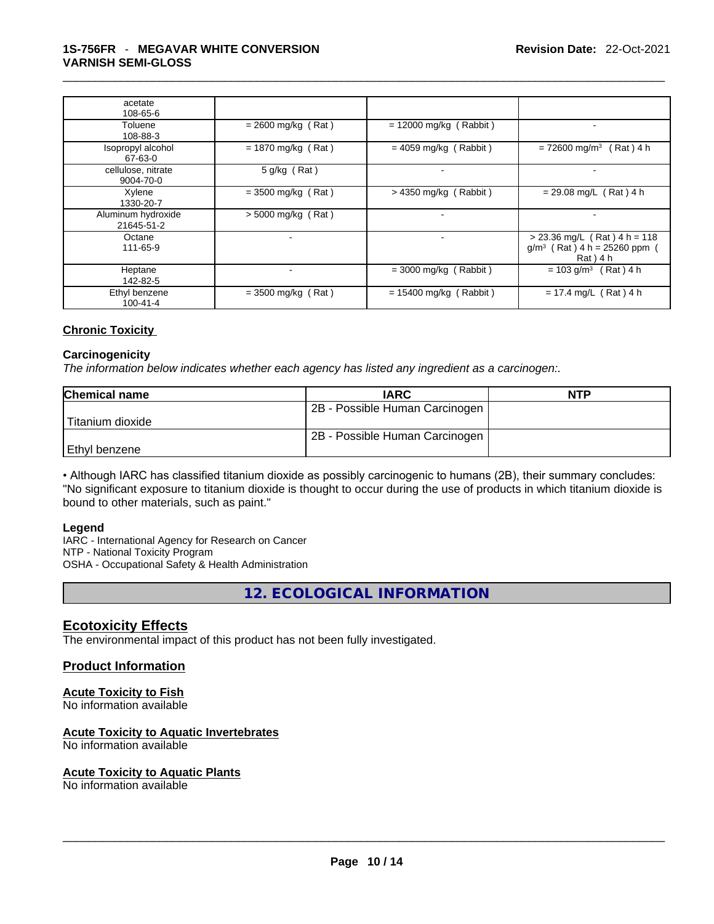| acetate<br>108-65-6              |                      |                          |                                                                              |
|----------------------------------|----------------------|--------------------------|------------------------------------------------------------------------------|
| Toluene<br>108-88-3              | $= 2600$ mg/kg (Rat) | $= 12000$ mg/kg (Rabbit) |                                                                              |
| Isopropyl alcohol<br>67-63-0     | $= 1870$ mg/kg (Rat) | $= 4059$ mg/kg (Rabbit)  | $= 72600$ mg/m <sup>3</sup> (Rat) 4 h                                        |
| cellulose, nitrate<br>9004-70-0  | $5$ g/kg (Rat)       | $\blacksquare$           |                                                                              |
| Xylene<br>1330-20-7              | $=$ 3500 mg/kg (Rat) | $> 4350$ mg/kg (Rabbit)  | $= 29.08$ mg/L (Rat) 4 h                                                     |
| Aluminum hydroxide<br>21645-51-2 | $>$ 5000 mg/kg (Rat) | $\blacksquare$           |                                                                              |
| Octane<br>111-65-9               |                      |                          | $> 23.36$ mg/L (Rat) 4 h = 118<br>$g/m^3$ (Rat) 4 h = 25260 ppm<br>Rat ) 4 h |
| Heptane<br>142-82-5              |                      | $=$ 3000 mg/kg (Rabbit)  | $= 103$ g/m <sup>3</sup><br>$(Rat)$ 4 h                                      |
| Ethyl benzene<br>$100 - 41 - 4$  | $=$ 3500 mg/kg (Rat) | $= 15400$ mg/kg (Rabbit) | $= 17.4$ mg/L (Rat) 4 h                                                      |

# **Chronic Toxicity**

### **Carcinogenicity**

*The information below indicates whether each agency has listed any ingredient as a carcinogen:.* 

| <b>Chemical name</b> | <b>IARC</b>                    | <b>NTP</b> |
|----------------------|--------------------------------|------------|
|                      | 2B - Possible Human Carcinogen |            |
| l Titanium dioxide   |                                |            |
|                      | 2B - Possible Human Carcinogen |            |
| l Ethvl benzene      |                                |            |

• Although IARC has classified titanium dioxide as possibly carcinogenic to humans (2B), their summary concludes: "No significant exposure to titanium dioxide is thought to occur during the use of products in which titanium dioxide is bound to other materials, such as paint."

#### **Legend**

IARC - International Agency for Research on Cancer NTP - National Toxicity Program OSHA - Occupational Safety & Health Administration

**12. ECOLOGICAL INFORMATION** 

# **Ecotoxicity Effects**

The environmental impact of this product has not been fully investigated.

# **Product Information**

# **Acute Toxicity to Fish**

No information available

# **Acute Toxicity to Aquatic Invertebrates**

No information available

### **Acute Toxicity to Aquatic Plants**

No information available \_\_\_\_\_\_\_\_\_\_\_\_\_\_\_\_\_\_\_\_\_\_\_\_\_\_\_\_\_\_\_\_\_\_\_\_\_\_\_\_\_\_\_\_\_\_\_\_\_\_\_\_\_\_\_\_\_\_\_\_\_\_\_\_\_\_\_\_\_\_\_\_\_\_\_\_\_\_\_\_\_\_\_\_\_\_\_\_\_\_\_\_\_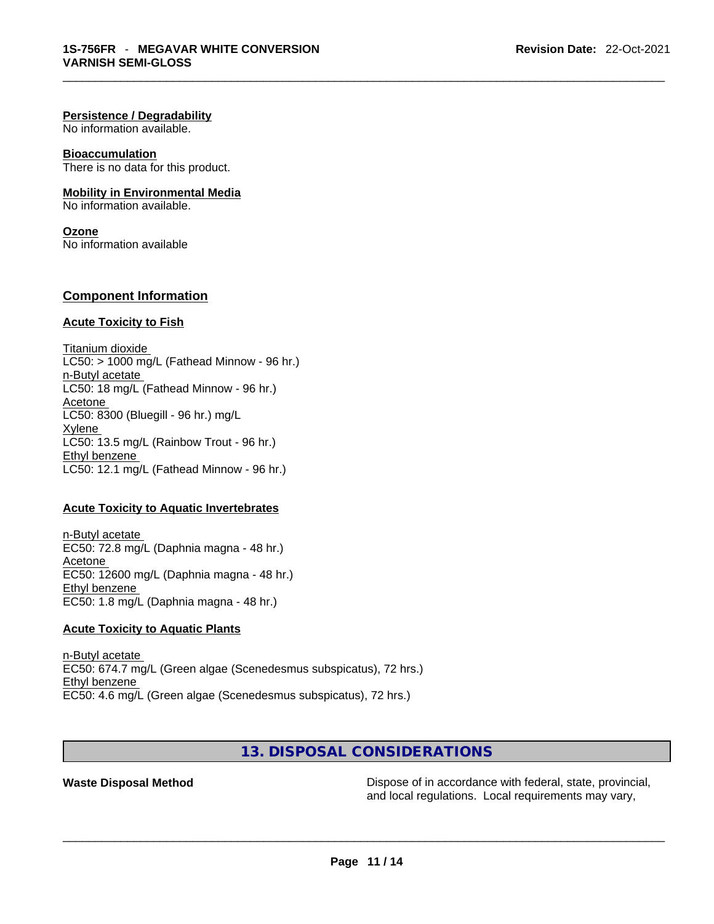#### **Persistence / Degradability**

No information available.

#### **Bioaccumulation**

There is no data for this product.

### **Mobility in Environmental Media**

No information available.

# **Ozone**

No information available

### **Component Information**

#### **Acute Toxicity to Fish**

Titanium dioxide  $LC50:$  > 1000 mg/L (Fathead Minnow - 96 hr.) n-Butyl acetate LC50: 18 mg/L (Fathead Minnow - 96 hr.) Acetone LC50: 8300 (Bluegill - 96 hr.) mg/L **Xylene** LC50: 13.5 mg/L (Rainbow Trout - 96 hr.) Ethyl benzene LC50: 12.1 mg/L (Fathead Minnow - 96 hr.)

#### **Acute Toxicity to Aquatic Invertebrates**

n-Butyl acetate EC50: 72.8 mg/L (Daphnia magna - 48 hr.) Acetone EC50: 12600 mg/L (Daphnia magna - 48 hr.) Ethyl benzene EC50: 1.8 mg/L (Daphnia magna - 48 hr.)

### **Acute Toxicity to Aquatic Plants**

n-Butyl acetate EC50: 674.7 mg/L (Green algae (Scenedesmus subspicatus), 72 hrs.) Ethyl benzene EC50: 4.6 mg/L (Green algae (Scenedesmus subspicatus), 72 hrs.)

**13. DISPOSAL CONSIDERATIONS** 

**Waste Disposal Method Dispose of in accordance with federal, state, provincial, waste Dispose of in accordance with federal, state, provincial, and local regulations. Local requirements may vary,** and local regulations. Local requirements may vary, \_\_\_\_\_\_\_\_\_\_\_\_\_\_\_\_\_\_\_\_\_\_\_\_\_\_\_\_\_\_\_\_\_\_\_\_\_\_\_\_\_\_\_\_\_\_\_\_\_\_\_\_\_\_\_\_\_\_\_\_\_\_\_\_\_\_\_\_\_\_\_\_\_\_\_\_\_\_\_\_\_\_\_\_\_\_\_\_\_\_\_\_\_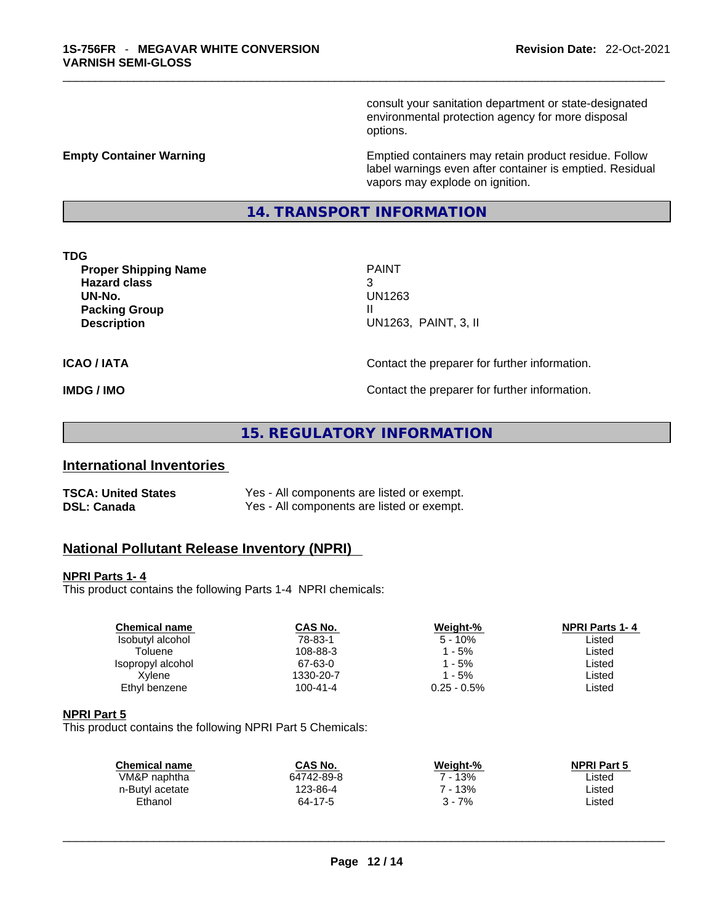consult your sanitation department or state-designated environmental protection agency for more disposal options.

**Empty Container Warning <b>Emptied** Containers may retain product residue. Follow label warnings even after container is emptied. Residual vapors may explode on ignition.

# **14. TRANSPORT INFORMATION**

**TDG** 

**Proper Shipping Name PAINT Hazard class** 3 **UN-No.** UN1263 **Packing Group III Description** UN1263, PAINT, 3, II

**ICAO / IATA CONTACTER CONTACTER INCOVER THE CONTACT CONTACT OF EXAMPLE INCOVER THE PREPARER INCOVER THE CONTACT OF INCOLLECT AND <b>CONTACTER** CONTACTER INCOMENTATION.

**IMDG / IMO Contact the preparer for further information.** 

# **15. REGULATORY INFORMATION**

# **International Inventories**

| <b>TSCA: United States</b> | Yes - All components are listed or exempt. |
|----------------------------|--------------------------------------------|
| <b>DSL: Canada</b>         | Yes - All components are listed or exempt. |

# **National Pollutant Release Inventory (NPRI)**

#### **NPRI Parts 1- 4**

This product contains the following Parts 1-4 NPRI chemicals:

| <b>Chemical name</b> | CAS No.        | Weight-%       | <b>NPRI Parts 1-4</b> |
|----------------------|----------------|----------------|-----------------------|
| Isobutyl alcohol     | 78-83-1        | $5 - 10%$      | Listed                |
| Toluene              | 108-88-3       | 1 - 5%         | Listed                |
| Isopropyl alcohol    | 67-63-0        | 1 - 5%         | Listed                |
| Xvlene               | 1330-20-7      | $1 - 5%$       | Listed                |
| Ethyl benzene        | $100 - 41 - 4$ | $0.25 - 0.5\%$ | Listed                |
|                      |                |                |                       |

#### **NPRI Part 5**

This product contains the following NPRI Part 5 Chemicals:

| CAS No.    | Weight-% | <b>NPRI Part 5</b> |  |
|------------|----------|--------------------|--|
| 64742-89-8 | ' - 13%  | Listed             |  |
| 123-86-4   | 7 - 13%  | Listed             |  |
| 64-17-5    | $3 - 7%$ | Listed             |  |
|            |          |                    |  |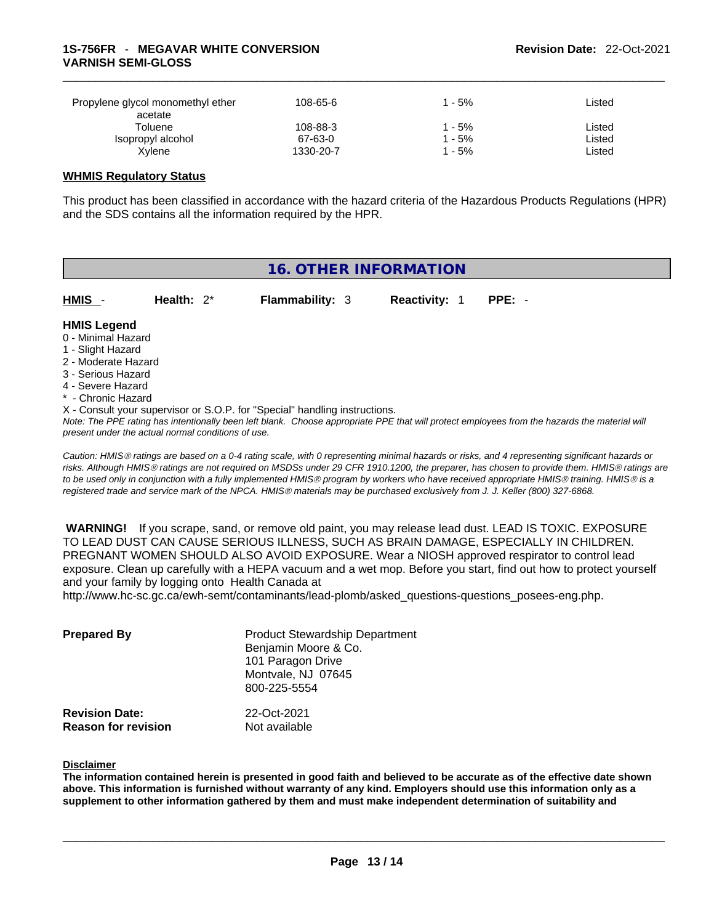| Propylene glycol monomethyl ether<br>acetate | 108-65-6            | - 5%          | Listed           |
|----------------------------------------------|---------------------|---------------|------------------|
| Toluene<br>Isopropyl alcohol                 | 108-88-3<br>67-63-0 | $-5%$<br>- 5% | Listed<br>Listed |
| Xvlene                                       | 1330-20-7           | - 5%          | Listed           |

### **WHMIS Regulatory Status**

This product has been classified in accordance with the hazard criteria of the Hazardous Products Regulations (HPR) and the SDS contains all the information required by the HPR.

# **16. OTHER INFORMATION HMIS** - **Health:** 2\* **Flammability:** 3 **Reactivity:** 1 **PPE:** - **HMIS Legend** 0 - Minimal Hazard 1 - Slight Hazard 2 - Moderate Hazard 3 - Serious Hazard 4 - Severe Hazard \* - Chronic Hazard X - Consult your supervisor or S.O.P. for "Special" handling instructions.

Note: The PPE rating has intentionally been left blank. Choose appropriate PPE that will protect employees from the hazards the material will *present under the actual normal conditions of use.* 

*Caution: HMISÒ ratings are based on a 0-4 rating scale, with 0 representing minimal hazards or risks, and 4 representing significant hazards or risks. Although HMISÒ ratings are not required on MSDSs under 29 CFR 1910.1200, the preparer, has chosen to provide them. HMISÒ ratings are to be used only in conjunction with a fully implemented HMISÒ program by workers who have received appropriate HMISÒ training. HMISÒ is a registered trade and service mark of the NPCA. HMISÒ materials may be purchased exclusively from J. J. Keller (800) 327-6868.* 

 **WARNING!** If you scrape, sand, or remove old paint, you may release lead dust. LEAD IS TOXIC. EXPOSURE TO LEAD DUST CAN CAUSE SERIOUS ILLNESS, SUCH AS BRAIN DAMAGE, ESPECIALLY IN CHILDREN. PREGNANT WOMEN SHOULD ALSO AVOID EXPOSURE.Wear a NIOSH approved respirator to control lead exposure. Clean up carefully with a HEPA vacuum and a wet mop. Before you start, find out how to protect yourself and your family by logging onto Health Canada at

http://www.hc-sc.gc.ca/ewh-semt/contaminants/lead-plomb/asked\_questions-questions\_posees-eng.php.

| <b>Prepared By</b>                                  | <b>Product Stewardship Department</b><br>Benjamin Moore & Co.<br>101 Paragon Drive<br>Montvale, NJ 07645<br>800-225-5554 |  |
|-----------------------------------------------------|--------------------------------------------------------------------------------------------------------------------------|--|
| <b>Revision Date:</b><br><b>Reason for revision</b> | 22-Oct-2021<br>Not available                                                                                             |  |

#### **Disclaimer**

The information contained herein is presented in good faith and believed to be accurate as of the effective date shown above. This information is furnished without warranty of any kind. Employers should use this information only as a **supplement to other information gathered by them and must make independent determination of suitability and**